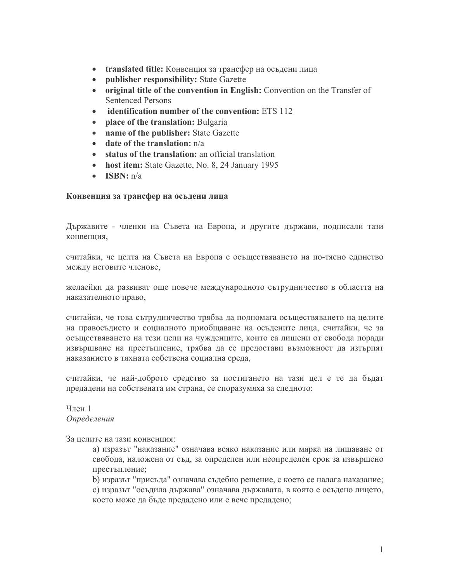- translated title: Конвенция за трансфер на осъдени лица
- $\bullet$ publisher responsibility: State Gazette
- original title of the convention in English: Convention on the Transfer of **Sentenced Persons**
- identification number of the convention: ETS 112  $\bullet$
- place of the translation: Bulgaria  $\bullet$
- name of the publisher: State Gazette  $\bullet$
- date of the translation: n/a  $\bullet$
- status of the translation: an official translation
- host item: State Gazette, No. 8, 24 January 1995
- ISBN:  $n/a$

### Конвенция за трансфер на осъдени лица

Държавите - членки на Съвета на Европа, и другите държави, подписали тази конвенция.

считайки, че целта на Съвета на Европа е осъществяването на по-тясно единство между неговите членове,

желаейки да развиват още повече международното сътрудничество в областта на наказателното право,

считайки, че това сътрудничество трябва да подпомага осъществяването на целите на правосъдието и социалното приобщаване на осъдените лица, считайки, че за осъществяването на тези цели на чужденците, които са лишени от свобода поради извършване на престъпление, трябва да се предостави възможност да изтърпят наказанието в тяхната собствена социална среда,

считайки, че най-доброто средство за постигането на тази цел е те да бъдат предадени на собствената им страна, се споразумяха за следното:

Член 1 Определения

За целите на тази конвенция:

а) изразът "наказание" означава всяко наказание или мярка на лишаване от свобода, наложена от съд, за определен или неопределен срок за извършено престъпление;

b) изразът "присъда" означава съдебно решение, с което се налага наказание; с) изразът "осъдила държава" означава държавата, в която е осъдено лицето, което може да бъде предадено или е вече предадено;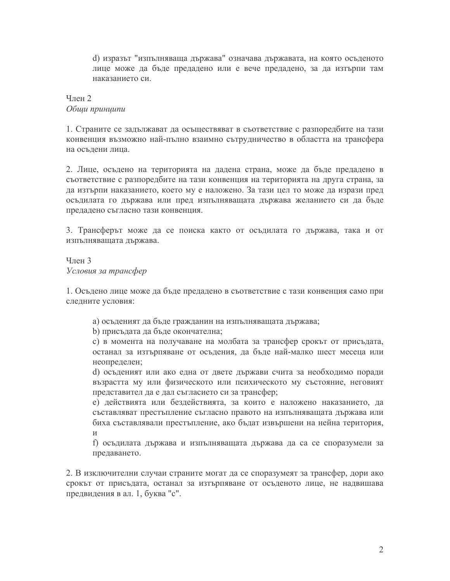d) изразът "изпълняваща държава" означава държавата, на която осъденото лице може да бъде предадено или е вече предадено, за да изтърпи там наказанието си.

# $q$ пен 2 Общи принципи

1. Страните се задължават да осъществяват в съответствие с разпоредбите на тази конвенция възможно най-пълно взаимно сътрудничество в областта на трансфера на осъдени лица.

2. Лице, осъдено на територията на дадена страна, може да бъде предадено в съответствие с разпоредбите на тази конвенция на територията на друга страна, за да изтърпи наказанието, което му е наложено. За тази цел то може да изрази пред осъдилата го държава или пред изпълняващата държава желанието си да бъде предадено съгласно тази конвенция.

3. Трансферът може да се поиска както от осъдилата го държава, така и от изпълняващата държава.

Член 3 Условия за трансфер

1. Осъдено лице може да бъде предадено в съответствие с тази конвенция само при следните условия:

а) осъденият да бъде гражданин на изпълняващата държава;

b) присъдата да бъде окончателна;

с) в момента на получаване на молбата за трансфер срокът от присъдата, останал за изтърпяване от осъдения, да бъде най-малко шест месеца или неопределен;

d) осъденият или ако една от двете държави счита за необходимо поради възрастта му или физическото или психическото му състояние, неговият представител да е дал съгласието си за трансфер;

е) действията или бездействията, за които е наложено наказанието, да съставляват престъпление съгласно правото на изпълняващата държава или биха съставлявали престъпление, ако бъдат извършени на нейна територия,  $\overline{M}$ 

f) осъдилата държава и изпълняващата държава да са се споразумели за предаването.

2. В изключителни случаи страните могат да се споразумеят за трансфер, дори ако срокът от присъдата, останал за изтърпяване от осъденото лице, не надвишава предвидения в ал. 1, буква "с".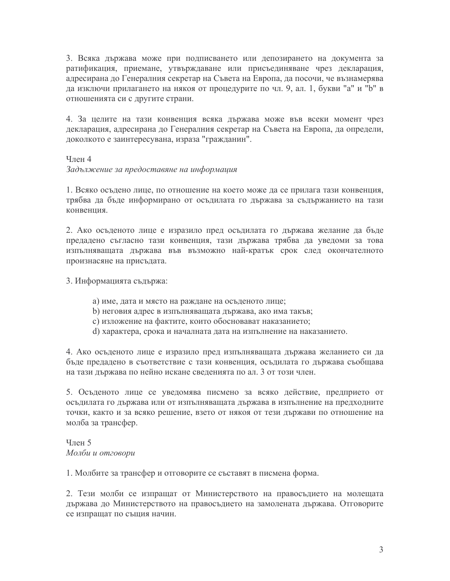3. Всяка държава може при подписването или депозирането на документа за ратификация, приемане, утвърждаване или присъединяване чрез декларация, адресирана до Генералния секретар на Съвета на Европа, да посочи, че възнамерява да изключи прилагането на някоя от процедурите по чл. 9, ал. 1, букви "а" и "b" в отношенията си с другите страни.

4. За целите на тази конвенция всяка държава може във всеки момент чрез декларация, адресирана до Генералния секретар на Съвета на Европа, да определи, доколкото е заинтересувана, израза "гражданин".

### $q$ лен 4

Задължение за предоставяне на информация

1. Всяко осъдено лице, по отношение на което може да се прилага тази конвенция, трябва да бъде информирано от осъдилата го държава за съдържанието на тази конвенция.

2. Ако осъденото лице е изразило пред осъдилата го държава желание да бъде предадено съгласно тази конвенция, тази държава трябва да уведоми за това изпълняващата държава във възможно най-кратък срок след окончателното произнасяне на присъдата.

3. Информацията съдържа:

- а) име, дата и място на раждане на осъденото лице;
- b) неговия адрес в изпълняващата държава, ако има такъв;
- с) изложение на фактите, които обосновават наказанието;
- d) характера, срока и началната дата на изпълнение на наказанието.

4. Ако осъденото лице е изразило пред изпълняващата държава желанието си да бъде предадено в съответствие с тази конвенция, осъдилата го държава съобщава на тази държава по нейно искане сведенията по ал. 3 от този член.

5. Осъденото лице се уведомява писмено за всяко действие, предприето от осъдилата го държава или от изпълняващата държава в изпълнение на предходните точки, както и за всяко решение, взето от някоя от тези държави по отношение на молба за трансфер.

Член 5 Молби и отговори

1. Молбите за трансфер и отговорите се съставят в писмена форма.

2. Тези молби се изпращат от Министерството на правосъдието на молещата държава до Министерството на правосъдието на замолената държава. Отговорите се изпращат по същия начин.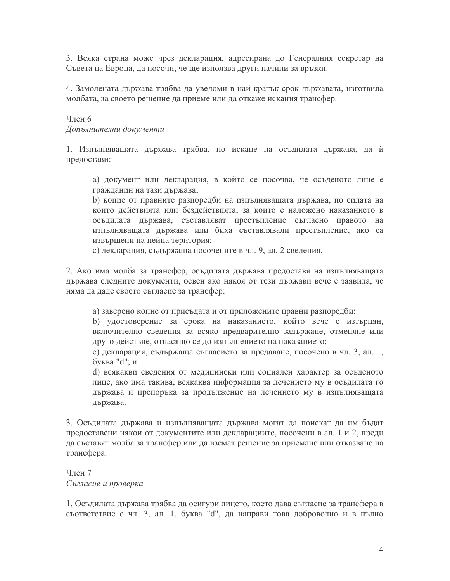3. Всяка страна може чрез декларация, адресирана до Генералния секретар на Съвета на Европа, да посочи, че ще използва други начини за връзки.

4. Замолената държава трябва да уведоми в най-кратък срок държавата, изготвила молбата, за своето решение да приеме или да откаже искания трансфер.

### Член 6

Допълнителни документи

1. Изпълняващата държава трябва, по искане на осъдилата държава, да й предостави:

а) документ или декларация, в който се посочва, че осъденото лице е гражданин на тази държава;

b) копие от правните разпоредби на изпълняващата държава, по силата на които действията или бездействията, за които е наложено наказанието в осъдилата държава, съставляват престъпление съгласно правото на изпълняващата държава или биха съставлявали престъпление, ако са извършени на нейна територия;

с) декларация, съдържаща посочените в чл. 9, ал. 2 сведения.

2. Ако има молба за трансфер, осъдилата държава предоставя на изпълняващата държава следните документи, освен ако някоя от тези държави вече е заявила, че няма да даде своето съгласие за трансфер:

а) заверено копие от присъдата и от приложените правни разпоредби;

b) удостоверение за срока на наказанието, който вече е изтърпян, включително сведения за всяко предварително задържане, отменяне или друго действие, отнасящо се до изпълнението на наказанието;

с) декларация, съдържаща съгласието за предаване, посочено в чл. 3, ал. 1, буква "d"; и

d) всякакви сведения от медицински или социален характер за осъденото лице, ако има такива, всякаква информация за лечението му в осъдилата го държава и препоръка за продължение на лечението му в изпълняващата държава.

3. Осъдилата държава и изпълняващата държава могат да поискат да им бъдат предоставени някои от документите или декларациите, посочени в ал. 1 и 2, преди да съставят молба за трансфер или да вземат решение за приемане или отказване на трансфера.

Член 7 Съгласие и проверка

1. Осъдилата държава трябва да осигури лицето, което дава съгласие за трансфера в съответствие с чл. 3, ал. 1, буква "d", да направи това доброволно и в пълно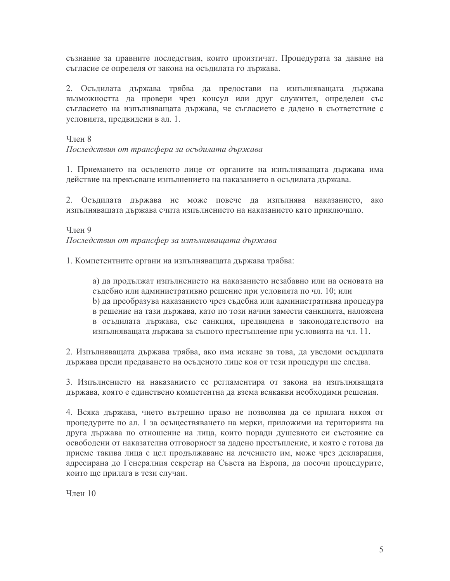съзнание за правните последствия, които произтичат. Процедурата за даване на съгласие се определя от закона на осъдилата го държава.

2. Осъдилата държава трябва да предостави на изпълняващата държава възможността да провери чрез консул или друг служител, определен със съгласието на изпълняващата държава, че съгласието е дадено в съответствие с условията, предвидени в ал. 1.

### $4$ лен 8

Последствия от трансфера за осъдилата държава

1. Приемането на осъденото лице от органите на изпълняващата държава има действие на прекъсване изпълнението на наказанието в осъдилата държава.

2. Осъдилата държава не може повече да изпълнява наказанието, ако изпълняващата държава счита изпълнението на наказанието като приключило.

### Член 9

Последствия от трансфер за изпълняващата държава

1. Компетентните органи на изпълняващата държава трябва:

а) да продължат изпълнението на наказанието незабавно или на основата на съдебно или административно решение при условията по чл. 10; или b) да преобразува наказанието чрез съдебна или административна процедура в решение на тази държава, като по този начин замести санкцията, наложена в осъдилата държава, със санкция, предвидена в законодателството на изпълняващата държава за същото престъпление при условията на чл. 11.

2. Изпълняващата държава трябва, ако има искане за това, да уведоми осъдилата държава преди предаването на осъденото лице коя от тези процедури ще следва.

3. Изпълнението на наказанието се регламентира от закона на изпълняващата държава, която е единствено компетентна да взема всякакви необходими решения.

4. Всяка държава, чието вътрешно право не позволява да се прилага някоя от процедурите по ал. 1 за осъществяването на мерки, приложими на територията на друга държава по отношение на лица, които поради душевното си състояние са освободени от наказателна отговорност за дадено престъпление, и която е готова да приеме такива лица с цел продължаване на лечението им, може чрез декларация, адресирана до Генералния секретар на Съвета на Европа, да посочи процедурите, които ще прилага в тези случаи.

Член 10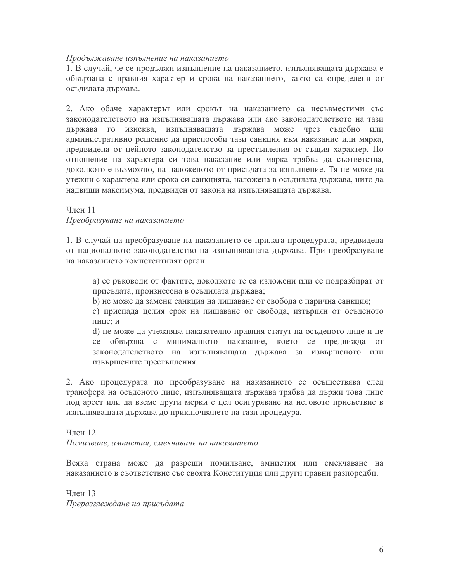#### Продължаване изпълнение на наказанието

1. В случай, че се продължи изпълнение на наказанието, изпълняващата държава е обвързана с правния характер и срока на наказанието, както са определени от осъдилата държава.

2. Ако обаче характерът или срокът на наказанието са несъвместими със законодателството на изпълняващата държава или ако законодателството на тази държава го изисква, изпълняващата държава може чрез съдебно или административно решение да приспособи тази санкция към наказание или мярка, предвидена от нейното законодателство за престъпления от същия характер. По отношение на характера си това наказание или мярка трябва да съответства, доколкото е възможно, на наложеното от присъдата за изпълнение. Тя не може да утежни с характера или срока си санкцията, наложена в осъдилата държава, нито да надвиши максимума, предвиден от закона на изпълняващата държава.

## Член 11 Преобразуване на наказанието

1. В случай на преобразуване на наказанието се прилага процедурата, предвидена от националното законодателство на изпълняващата държава. При преобразуване на наказанието компетентният орган:

а) се ръководи от фактите, доколкото те са изложени или се подразбират от присъдата, произнесена в осъдилата държава;

b) не може да замени санкция на лишаване от свобода с парична санкция;

с) приспада целия срок на лишаване от свобода, изтърпян от осъденото лице; и

d) не може да утежнява наказателно-правния статут на осъденото лице и не се обвързва с минималното наказание, което се предвижда **OT** законодателството на изпълняващата държава за извършеното или извършените престъпления.

2. Ако процедурата по преобразуване на наказанието се осъществява след трансфера на осъденото лице, изпълняващата държава трябва да държи това лице под арест или да вземе други мерки с цел осигуряване на неговото присъствие в изпълняващата държава до приключването на тази процедура.

# $V<sub>II</sub>$ ен 12 Помилване, амнистия, смекчаване на наказанието

Всяка страна може да разреши помилване, амнистия или смекчаване на наказанието в съответствие със своята Конституция или други правни разпоредби.

Член 13 Преразглеждане на присъдата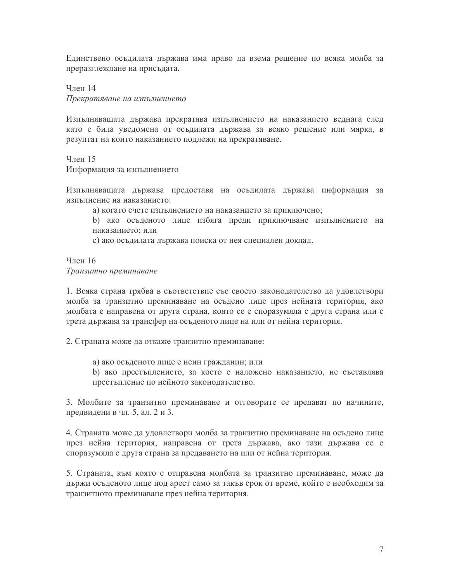Единствено осъдилата държава има право да взема решение по всяка молба за преразглеждане на присъдата.

Член 14 Прекратяване на изпълнението

Изпълняващата държава прекратява изпълнението на наказанието веднага след като е била уведомена от осъдилата държава за всяко решение или мярка, в резултат на които наказанието подлежи на прекратяване.

Член 15 Информация за изпълнението

Изпълняващата държава предоставя на осъдилата държава информация за изпълнение на наказанието:

а) когато счете изпълнението на наказанието за приключено;

b) ако осъденото лице избяга преди приключване изпълнението на наказанието; или

с) ако осъдилата държава поиска от нея специален доклад.

Член 16 Транзитно преминаване

1. Всяка страна трябва в съответствие със своето законодателство да удовлетвори молба за транзитно преминаване на осъдено лице през нейната територия, ако молбата е направена от друга страна, която се е споразумяла с друга страна или с трета държава за трансфер на осъденото лице на или от нейна територия.

2. Страната може да откаже транзитно преминаване:

а) ако осъденото лице е неин гражданин; или

b) ако престъплението, за което е наложено наказанието, не съставлява престъпление по нейното законодателство.

3. Молбите за транзитно преминаване и отговорите се предават по начините, предвидени в чл. 5, ал. 2 и 3.

4. Страната може да удовлетвори молба за транзитно преминаване на осъдено лице през нейна територия, направена от трета държава, ако тази държава се е споразумяла с друга страна за предаването на или от нейна територия.

5. Страната, към която е отправена молбата за транзитно преминаване, може да държи осъденото лице под арест само за такъв срок от време, който е необходим за транзитното преминаване през нейна територия.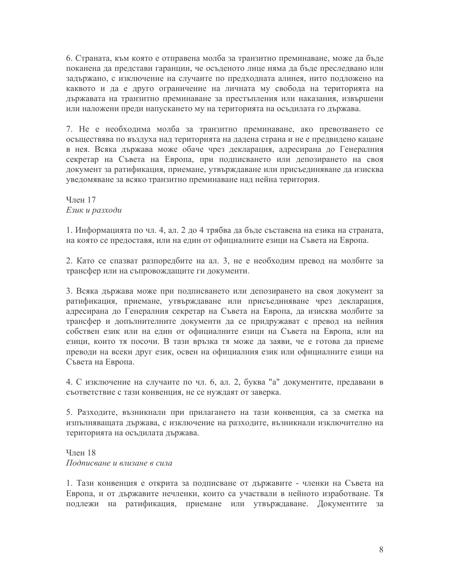6. Страната, към която е отправена молба за транзитно преминаване, може да бъде поканена да представи гаранции, че осъденото лице няма да бъде преследвано или задържано, с изключение на случаите по предходната алинея, нито подложено на каквото и да е друго ограничение на личната му свобода на територията на държавата на транзитно преминаване за престъпления или наказания, извършени или наложени преди напускането му на територията на осъдилата го държава.

7. Не е необходима молба за транзитно преминаване, ако превозването се осъществява по въздуха над територията на дадена страна и не е предвидено кацане в нея. Всяка държава може обаче чрез декларация, адресирана до Генералния секретар на Съвета на Европа, при подписването или депозирането на своя документ за ратификация, приемане, утвърждаване или присъединяване да изисква уведомяване за всяко транзитно преминаване над нейна територия.

 $V$ пен 17 Език и разходи

1. Информацията по чл. 4, ал. 2 до 4 трябва да бъде съставена на езика на страната, на която се предоставя, или на един от официалните езици на Съвета на Европа.

2. Като се спазват разпоредбите на ал. 3, не е необходим превод на молбите за трансфер или на съпровождащите ги документи.

3. Всяка държава може при подписването или депозирането на своя документ за ратификация, приемане, утвърждаване или присъединяване чрез декларация, адресирана до Генералния секретар на Съвета на Европа, да изисква молбите за трансфер и допълнителните документи да се придружават с превод на нейния собствен език или на един от официалните езици на Съвета на Европа, или на езици, които тя посочи. В тази връзка тя може да заяви, че е готова да приеме преводи на всеки друг език, освен на официалния език или официалните езици на Съвета на Европа.

4. С изключение на случаите по чл. 6, ал. 2, буква "а" документите, предавани в съответствие с тази конвенция, не се нуждаят от заверка.

5. Разходите, възникнали при прилагането на тази конвенция, са за сметка на изпълняващата държава, с изключение на разходите, възникнали изключително на територията на осъдилата държава.

Член 18 Подписване и влизане в сила

1. Тази конвенция е открита за подписване от държавите - членки на Съвета на Европа, и от държавите нечленки, които са участвали в нейното изработване. Тя подлежи на ратификация, приемане или утвърждаване. Документите за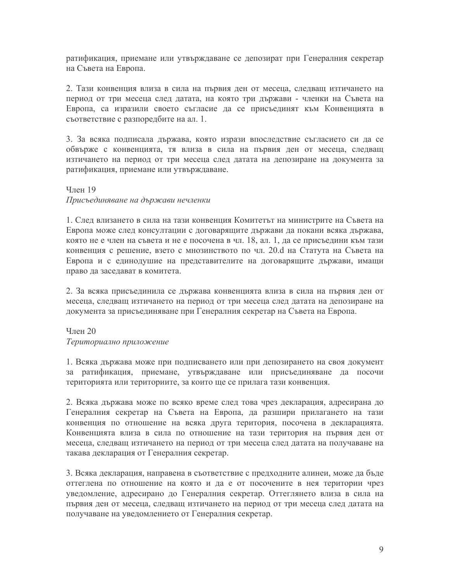ратификация, приемане или утвърждаване се депозират при Генералния секретар на Съвета на Европа.

2. Тази конвенция влиза в сила на първия ден от месеца, следващ изтичането на период от три месеца след датата, на която три държави - членки на Съвета на Европа, са изразили своето съгласие да се присъединят към Конвенцията в съответствие с разпоредбите на ал. 1.

3. За всяка подписала държава, която изрази впоследствие съгласието си да се обвърже с конвенцията, тя влиза в сила на първия ден от месеца, следващ изтичането на период от три месеца след датата на депозиране на документа за ратификация, приемане или утвърждаване.

# **Член 19** Присъединяване на държави нечленки

1. След влизането в сила на тази конвенция Комитетът на министрите на Съвета на Европа може след консултации с договарящите държави да покани всяка държава, която не е член на съвета и не е посочена в чл. 18, ал. 1, да се присъедини към тази конвенция с решение, взето с мнозинството по чл. 20.d на Статута на Съвета на Европа и с единодушие на представителите на договарящите държави, имащи право да заседават в комитета.

2. За всяка присъединила се държава конвенцията влиза в сила на първия ден от месеца, следващ изтичането на период от три месеца след датата на депозиране на документа за присъединяване при Генералния секретар на Съвета на Европа.

Член 20 Териториално приложение

1. Всяка държава може при подписването или при депозирането на своя документ за ратификация, приемане, утвърждаване или присъединяване да посочи територията или териториите, за които ще се прилага тази конвенция.

2. Всяка държава може по всяко време след това чрез декларация, адресирана до Генералния секретар на Съвета на Европа, да разшири прилагането на тази конвенция по отношение на всяка друга територия, посочена в декларацията. Конвенцията влиза в сила по отношение на тази територия на първия ден от месеца, следващ изтичането на период от три месеца след датата на получаване на такава декларация от Генералния секретар.

3. Всяка декларация, направена в съответствие с предходните алинеи, може да бъде оттеглена по отношение на която и да е от посочените в нея територии чрез уведомление, адресирано до Генералния секретар. Оттеглянето влиза в сила на първия ден от месеца, следващ изтичането на период от три месеца след датата на получаване на уведомлението от Генералния секретар.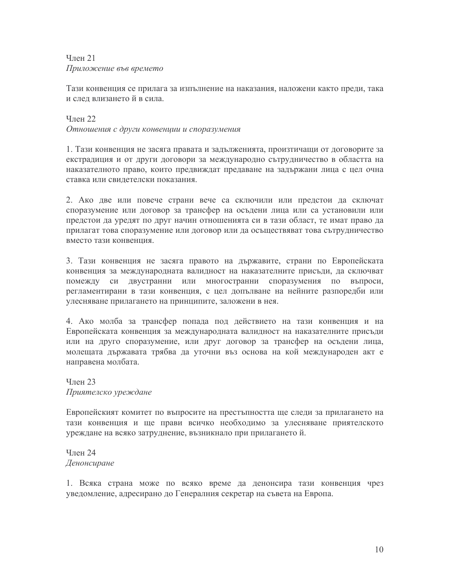## Член 21 Приложение във времето

Тази конвенция се прилага за изпълнение на наказания, наложени както преди, така и слел влизането й в сила.

# Член 22 Отношения с други конвенции и споразумения

1. Тази конвенция не засяга правата и задълженията, произтичащи от договорите за екстрадиция и от други договори за международно сътрудничество в областта на наказателното право, които предвиждат предаване на задържани лица с цел очна ставка или свидетелски показания.

2. Ако две или повече страни вече са сключили или предстои да сключат споразумение или договор за трансфер на осъдени лица или са установили или предстои да уредят по друг начин отношенията си в тази област, те имат право да прилагат това споразумение или договор или да осъществяват това сътрудничество вместо тази конвенния

3. Тази конвенция не засяга правото на държавите, страни по Европейската конвенция за международната валидност на наказателните присъди, да сключват помежду си двустранни или многостранни споразумения по въпроси, регламентирани в тази конвенция, с цел допълване на нейните разпоредби или улесняване прилагането на принципите, заложени в нея.

4. Ако молба за трансфер попада под действието на тази конвенция и на Европейската конвенция за международната валидност на наказателните присъди или на друго споразумение, или друг договор за трансфер на осъдени лица, молещата държавата трябва да уточни въз основа на кой международен акт е направена молбата.

 $T<sub>II</sub>$ ен 23 Приятелско уреждане

Европейският комитет по въпросите на престъпността ще следи за прилагането на тази конвенция и ще прави всичко необходимо за улесняване приятелското уреждане на всяко затруднение, възникнало при прилагането й.

Член 24 Денонсиране

1. Всяка страна може по всяко време да денонсира тази конвенция чрез уведомление, адресирано до Генералния секретар на съвета на Европа.